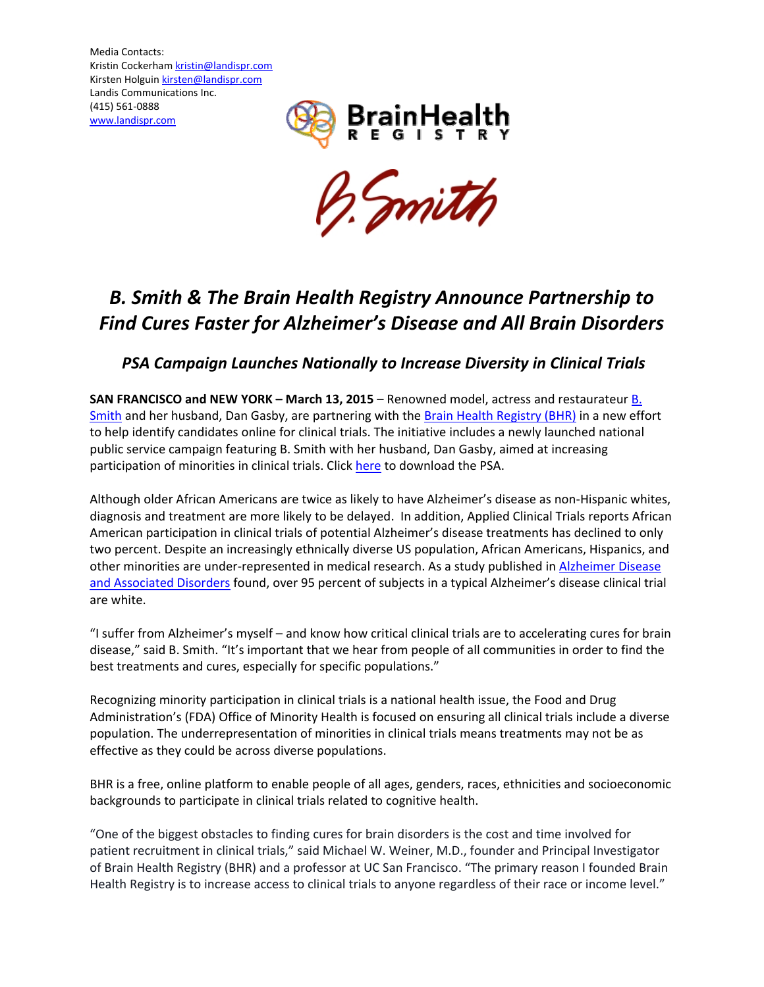Media Contacts: Kristin Cockerham kristin@landispr.com Kirsten Holguin kirsten@landispr.com Landis Communications Inc. (415) 561‐0888 www.landispr.com





# *B. Smith & The Brain Health Registry Announce Partnership to Find Cures Faster for Alzheimer's Disease and All Brain Disorders*

# *PSA Campaign Launches Nationally to Increase Diversity in Clinical Trials*

**SAN FRANCISCO and NEW YORK – March 13, 2015** – Renowned model, actress and restaurateur B. Smith and her husband, Dan Gasby, are partnering with the Brain Health Registry (BHR) in a new effort to help identify candidates online for clinical trials. The initiative includes a newly launched national public service campaign featuring B. Smith with her husband, Dan Gasby, aimed at increasing participation of minorities in clinical trials. Click here to download the PSA.

Although older African Americans are twice as likely to have Alzheimer's disease as non‐Hispanic whites, diagnosis and treatment are more likely to be delayed. In addition, Applied Clinical Trials reports African American participation in clinical trials of potential Alzheimer's disease treatments has declined to only two percent. Despite an increasingly ethnically diverse US population, African Americans, Hispanics, and other minorities are under-represented in medical research. As a study published in Alzheimer Disease and Associated Disorders found, over 95 percent of subjects in a typical Alzheimer's disease clinical trial are white.

"I suffer from Alzheimer's myself – and know how critical clinical trials are to accelerating cures for brain disease," said B. Smith. "It's important that we hear from people of all communities in order to find the best treatments and cures, especially for specific populations."

Recognizing minority participation in clinical trials is a national health issue, the Food and Drug Administration's (FDA) Office of Minority Health is focused on ensuring all clinical trials include a diverse population. The underrepresentation of minorities in clinical trials means treatments may not be as effective as they could be across diverse populations.

BHR is a free, online platform to enable people of all ages, genders, races, ethnicities and socioeconomic backgrounds to participate in clinical trials related to cognitive health.

"One of the biggest obstacles to finding cures for brain disorders is the cost and time involved for patient recruitment in clinical trials," said Michael W. Weiner, M.D., founder and Principal Investigator of Brain Health Registry (BHR) and a professor at UC San Francisco. "The primary reason I founded Brain Health Registry is to increase access to clinical trials to anyone regardless of their race or income level."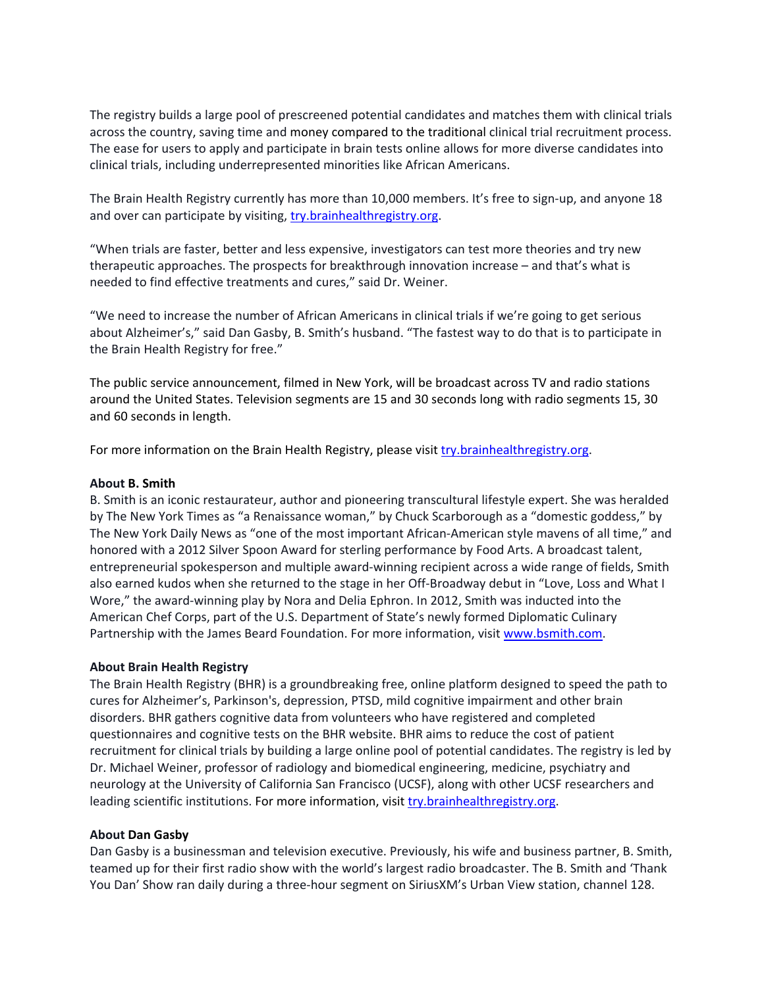The registry builds a large pool of prescreened potential candidates and matches them with clinical trials across the country, saving time and money compared to the traditional clinical trial recruitment process. The ease for users to apply and participate in brain tests online allows for more diverse candidates into clinical trials, including underrepresented minorities like African Americans.

The Brain Health Registry currently has more than 10,000 members. It's free to sign-up, and anyone 18 and over can participate by visiting, try.brainhealthregistry.org.

"When trials are faster, better and less expensive, investigators can test more theories and try new therapeutic approaches. The prospects for breakthrough innovation increase – and that's what is needed to find effective treatments and cures," said Dr. Weiner.

"We need to increase the number of African Americans in clinical trials if we're going to get serious about Alzheimer's," said Dan Gasby, B. Smith's husband. "The fastest way to do that is to participate in the Brain Health Registry for free."

The public service announcement, filmed in New York, will be broadcast across TV and radio stations around the United States. Television segments are 15 and 30 seconds long with radio segments 15, 30 and 60 seconds in length.

For more information on the Brain Health Registry, please visit try.brainhealthregistry.org.

## **About B. Smith**

B. Smith is an iconic restaurateur, author and pioneering transcultural lifestyle expert. She was heralded by The New York Times as "a Renaissance woman," by Chuck Scarborough as a "domestic goddess," by The New York Daily News as "one of the most important African-American style mavens of all time," and honored with a 2012 Silver Spoon Award for sterling performance by Food Arts. A broadcast talent, entrepreneurial spokesperson and multiple award‐winning recipient across a wide range of fields, Smith also earned kudos when she returned to the stage in her Off-Broadway debut in "Love, Loss and What I Wore," the award‐winning play by Nora and Delia Ephron. In 2012, Smith was inducted into the American Chef Corps, part of the U.S. Department of State's newly formed Diplomatic Culinary Partnership with the James Beard Foundation. For more information, visit www.bsmith.com.

### **About Brain Health Registry**

The Brain Health Registry (BHR) is a groundbreaking free, online platform designed to speed the path to cures for Alzheimer's, Parkinson's, depression, PTSD, mild cognitive impairment and other brain disorders. BHR gathers cognitive data from volunteers who have registered and completed questionnaires and cognitive tests on the BHR website. BHR aims to reduce the cost of patient recruitment for clinical trials by building a large online pool of potential candidates. The registry is led by Dr. Michael Weiner, professor of radiology and biomedical engineering, medicine, psychiatry and neurology at the University of California San Francisco (UCSF), along with other UCSF researchers and leading scientific institutions. For more information, visit try.brainhealthregistry.org.

### **About Dan Gasby**

Dan Gasby is a businessman and television executive. Previously, his wife and business partner, B. Smith, teamed up for their first radio show with the world's largest radio broadcaster. The B. Smith and 'Thank You Dan' Show ran daily during a three‐hour segment on SiriusXM's Urban View station, channel 128.